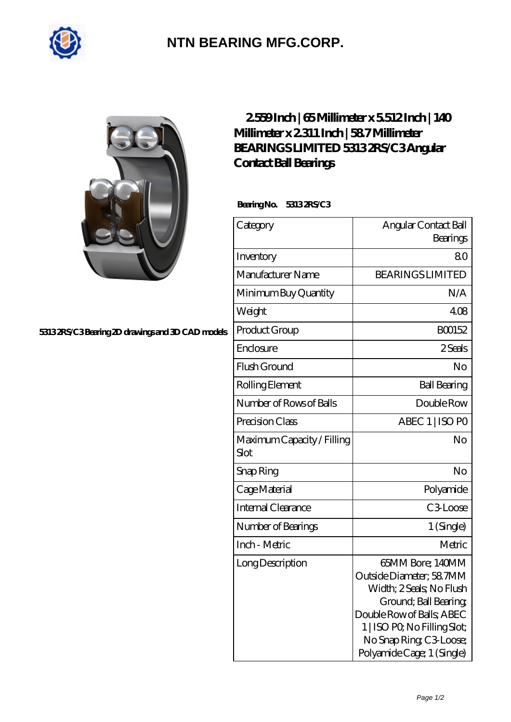

## **[NTN BEARING MFG.CORP.](https://m.2norma.de)**

## **[5313 2RS/C3 Bearing 2D drawings and 3D CAD models](https://m.2norma.de/pic-249131.html)**

## **[2.559 Inch | 65 Millimeter x 5.512 Inch | 140](https://m.2norma.de/bh-249131-bearings-limited-5313-2rs-c3-angular-contact-ball-bearings.html) [Millimeter x 2.311 Inch | 58.7 Millimeter](https://m.2norma.de/bh-249131-bearings-limited-5313-2rs-c3-angular-contact-ball-bearings.html) [BEARINGS LIMITED 5313 2RS/C3 Angular](https://m.2norma.de/bh-249131-bearings-limited-5313-2rs-c3-angular-contact-ball-bearings.html) [Contact Ball Bearings](https://m.2norma.de/bh-249131-bearings-limited-5313-2rs-c3-angular-contact-ball-bearings.html)**

 **Bearing No. 5313 2RS/C3**

| Category                           | Angular Contact Ball<br>Bearings                                                                                                                                                                                       |
|------------------------------------|------------------------------------------------------------------------------------------------------------------------------------------------------------------------------------------------------------------------|
| Inventory                          | 80                                                                                                                                                                                                                     |
| Manufacturer Name                  | <b>BEARINGS LIMITED</b>                                                                                                                                                                                                |
| Minimum Buy Quantity               | N/A                                                                                                                                                                                                                    |
| Weight                             | 408                                                                                                                                                                                                                    |
| Product Group                      | BO0152                                                                                                                                                                                                                 |
| Enclosure                          | 2 Seals                                                                                                                                                                                                                |
| Flush Ground                       | No                                                                                                                                                                                                                     |
| Rolling Element                    | <b>Ball Bearing</b>                                                                                                                                                                                                    |
| Number of Rows of Balls            | Double Row                                                                                                                                                                                                             |
| Precision Class                    | ABEC 1   ISO PO                                                                                                                                                                                                        |
| Maximum Capacity / Filling<br>Slot | No                                                                                                                                                                                                                     |
| Snap Ring                          | No                                                                                                                                                                                                                     |
| Cage Material                      | Polyamide                                                                                                                                                                                                              |
| Internal Clearance                 | C <sub>3</sub> Loose                                                                                                                                                                                                   |
| Number of Bearings                 | 1 (Single)                                                                                                                                                                                                             |
| Inch - Metric                      | Metric                                                                                                                                                                                                                 |
| Long Description                   | 65MM Bore; 140MM<br>Outside Diameter; 58 7MM<br>Width; 2 Seals; No Flush<br>Ground; Ball Bearing;<br>Double Row of Balls, ABEC<br>1   ISO PO, No Filling Slot;<br>No Snap Ring C3 Loose;<br>Polyamide Cage; 1 (Single) |